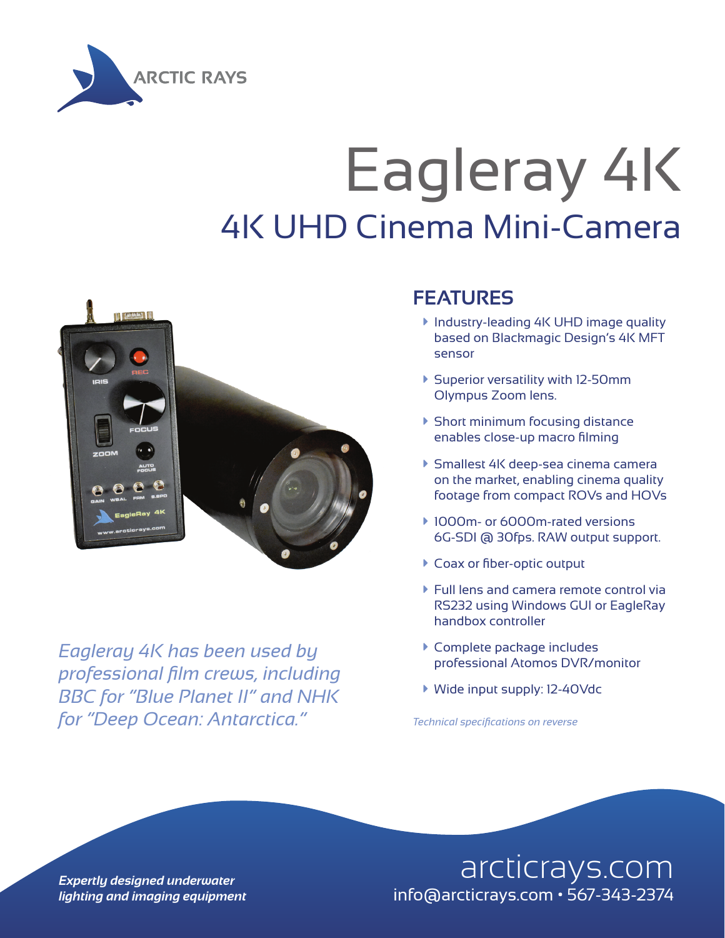

## Eagleray 4K 4K UHD Cinema Mini-Camera



*Eagleray 4K has been used by professional film crews, including BBC for "Blue Planet II" and NHK for "Deep Ocean: Antarctica."*

## **FEATURES**

- **Industry-leading 4K UHD image quality** based on Blackmagic Design's 4K MFT sensor
- à Superior versatility with 12-50mm Olympus Zoom lens.
- $\blacktriangleright$  Short minimum focusing distance enables close-up macro filming
- à Smallest 4K deep-sea cinema camera on the market, enabling cinema quality footage from compact ROVs and HOVs
- ▶ 1000m- or 6000m-rated versions 6G-SDI @ 30fps. RAW output support.
- ▶ Coax or fiber-optic output
- $\blacktriangleright$  Full lens and camera remote control via RS232 using Windows GUI or EagleRay handbox controller
- ▶ Complete package includes professional Atomos DVR/monitor
- à Wide input supply: 12-40Vdc

*Technical specifications on reverse*

**Expertly designed underwater** and the state of the arcticrays.com *lighting and imaging equipment* info@arcticrays.com • 567-343-2374